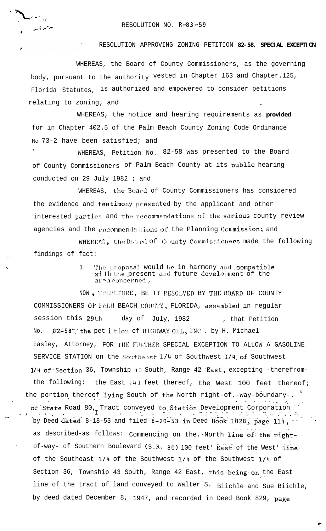## RESOLUTION NO. R-83-59

ن<br>تار ا<sup>ست س</sup>م

**And Miller** 

## RESOLUTION APPROVING ZONING PETITION 82-58, SPECIAL EXCEPTION

WHEREAS, the Board of County Commissioners, as the governing body, pursuant to the authority vested in Chapter 163 and Chapter.125, Florida Statutes, is authorized and empowered to consider petitions relating to zoning; and

WHEREAS, the notice and hearing requirements as provided for in Chapter 402.5 of the Palm Beach County Zoning Code Ordinance No. 73-2 have been satisfied; and

WHEREAS, Petition No. 82-58 was presented to the Board of County Commissioners of Palm Beach County at its public hearing conducted on 29 July 1982 ; and

WHEREAS, the Board of County Commissioners has considered the evidence and testimony presented by the applicant and other interested parties and the recommendations of the various county review agencies and the recommendations of the Planning Commission; and

WHEREAS, the Board of County Commissioners made the following findings of fact:

> The proposal would be in harmony and compatible  $\mathbf{1}$ w! th the present and future development of the area concerned,

NOW, THEREFORE, BE IT RESOLVED BY THE BOARD OF COUNTY COMMISSIONERS OF PALM BEACH COUNTY, FLORIDA, assembled in regular session this 29th day of July, 1982 , that Petition 82-58" the pet ition of HIGHWAY OIL, INC. by H. Michael No. Easley, Attorney, FOR THE FURTHER SPECIAL EXCEPTION TO ALLOW A GASOLINE SERVICE STATION on the Southeast 1/4 of Southwest 1/4 of Southwest 1/4 of Section 36, Township 43 South, Range 42 East, excepting -therefromthe following: the East 143 feet thereof, the West 100 feet thereof; the portion thereof lying South of the North right-of.-way-boundary-. of State Road 80, Tract conveyed to Station Development Corporation as sa Collage (m. 1988)<br>1950 - Collage Cartholic American (m. 1980)<br>1959 - Alban Cartholic Collage (m. 1980) by Deed dated 8-18-53 and filed 8-20-53 in Deed Book 1028, page 114,  $$ as described-as follows: Commencing on the.-North line of the rightof-way- of Southern Boulevard (S.R. 80) 100 feet' East of the West' line of the Southeast 1/4 of the Southwest 1/4 of the Southwest 1/4 of Section 36, Township 43 South, Range 42 East, this being on the East line of the tract of land conveyed to Walter S. Biichle and Sue Biichle, by deed dated December 8, 1947, and recorded in Deed Book 829, page